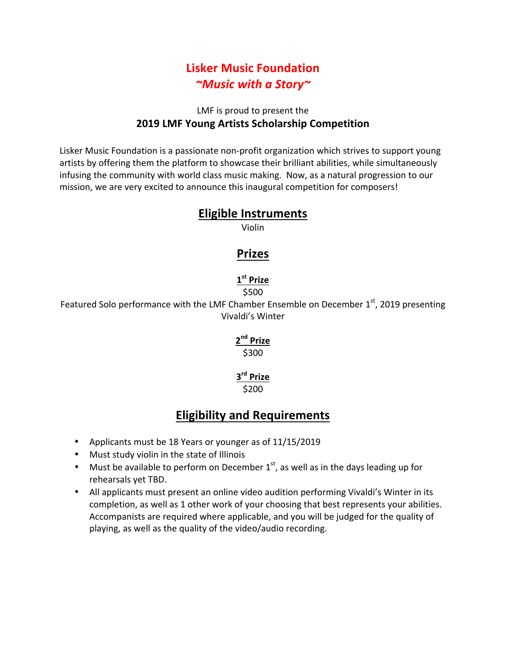# **Lisker Music Foundation** *~Music with a Story~*

### LMF is proud to present the **2019 LMF Young Artists Scholarship Competition**

Lisker Music Foundation is a passionate non-profit organization which strives to support young artists by offering them the platform to showcase their brilliant abilities, while simultaneously infusing the community with world class music making. Now, as a natural progression to our mission, we are very excited to announce this inaugural competition for composers!

## **Eligible Instruments**

Violin

## **Prizes**

#### **1st Prize** \$500

Featured Solo performance with the LMF Chamber Ensemble on December  $1<sup>st</sup>$ , 2019 presenting Vivaldi's Winter

# **2nd Prize**

#### \$300

#### **3rd Prize** \$200

# **Eligibility and Requirements**

- Applicants must be 18 Years or younger as of 11/15/2019
- Must study violin in the state of Illinois
- Must be available to perform on December  $1<sup>st</sup>$ , as well as in the days leading up for rehearsals yet TBD.
- All applicants must present an online video audition performing Vivaldi's Winter in its completion, as well as 1 other work of your choosing that best represents your abilities. Accompanists are required where applicable, and you will be judged for the quality of playing, as well as the quality of the video/audio recording.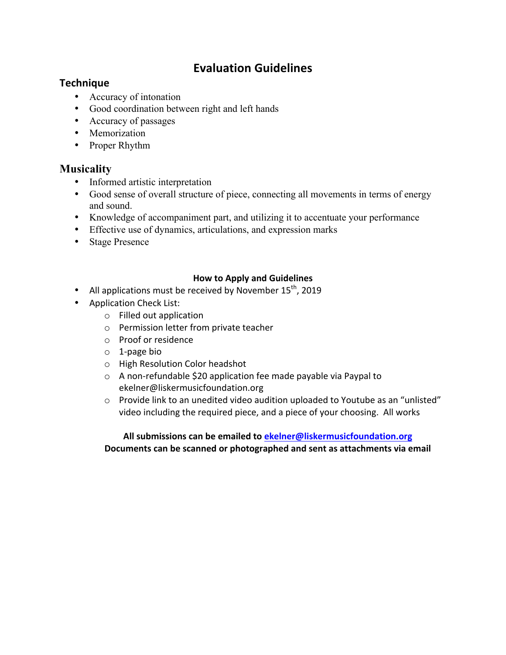# **Evaluation Guidelines**

### **Technique**

- Accuracy of intonation
- Good coordination between right and left hands
- Accuracy of passages
- Memorization
- Proper Rhythm

### **Musicality**

- Informed artistic interpretation
- Good sense of overall structure of piece, connecting all movements in terms of energy and sound.
- Knowledge of accompaniment part, and utilizing it to accentuate your performance
- Effective use of dynamics, articulations, and expression marks
- Stage Presence

### **How to Apply and Guidelines**

- All applications must be received by November  $15^{th}$ , 2019
- Application Check List:
	- $\circ$  Filled out application
	- o Permission letter from private teacher
	- o Proof or residence
	- $\circ$  1-page bio
	- o High Resolution Color headshot
	- $\circ$  A non-refundable \$20 application fee made payable via Paypal to ekelner@liskermusicfoundation.org
	- $\circ$  Provide link to an unedited video audition uploaded to Youtube as an "unlisted" video including the required piece, and a piece of your choosing. All works

All submissions can be emailed to ekelner@liskermusicfoundation.org Documents can be scanned or photographed and sent as attachments via email